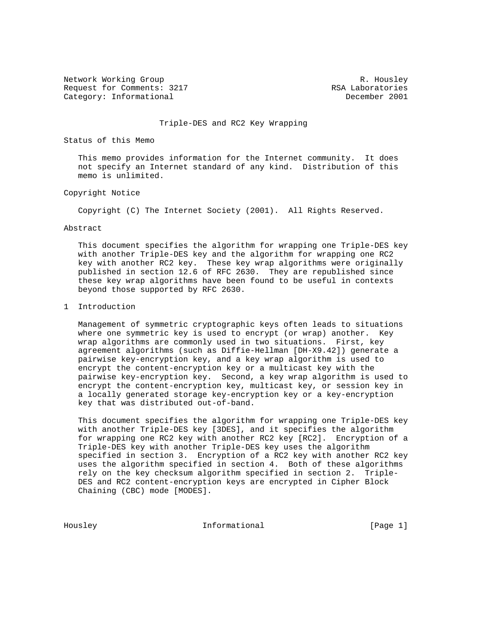Network Working Group and the set of the set of the set of the R. Housley Request for Comments: 3217 The Request for Comments: 3217 Category: Informational December 2001

#### Triple-DES and RC2 Key Wrapping

Status of this Memo

 This memo provides information for the Internet community. It does not specify an Internet standard of any kind. Distribution of this memo is unlimited.

## Copyright Notice

Copyright (C) The Internet Society (2001). All Rights Reserved.

#### Abstract

 This document specifies the algorithm for wrapping one Triple-DES key with another Triple-DES key and the algorithm for wrapping one RC2 key with another RC2 key. These key wrap algorithms were originally published in section 12.6 of RFC 2630. They are republished since these key wrap algorithms have been found to be useful in contexts beyond those supported by RFC 2630.

## 1 Introduction

 Management of symmetric cryptographic keys often leads to situations where one symmetric key is used to encrypt (or wrap) another. Key wrap algorithms are commonly used in two situations. First, key agreement algorithms (such as Diffie-Hellman [DH-X9.42]) generate a pairwise key-encryption key, and a key wrap algorithm is used to encrypt the content-encryption key or a multicast key with the pairwise key-encryption key. Second, a key wrap algorithm is used to encrypt the content-encryption key, multicast key, or session key in a locally generated storage key-encryption key or a key-encryption key that was distributed out-of-band.

 This document specifies the algorithm for wrapping one Triple-DES key with another Triple-DES key [3DES], and it specifies the algorithm for wrapping one RC2 key with another RC2 key [RC2]. Encryption of a Triple-DES key with another Triple-DES key uses the algorithm specified in section 3. Encryption of a RC2 key with another RC2 key uses the algorithm specified in section 4. Both of these algorithms rely on the key checksum algorithm specified in section 2. Triple- DES and RC2 content-encryption keys are encrypted in Cipher Block Chaining (CBC) mode [MODES].

Housley **Informational Informational** [Page 1]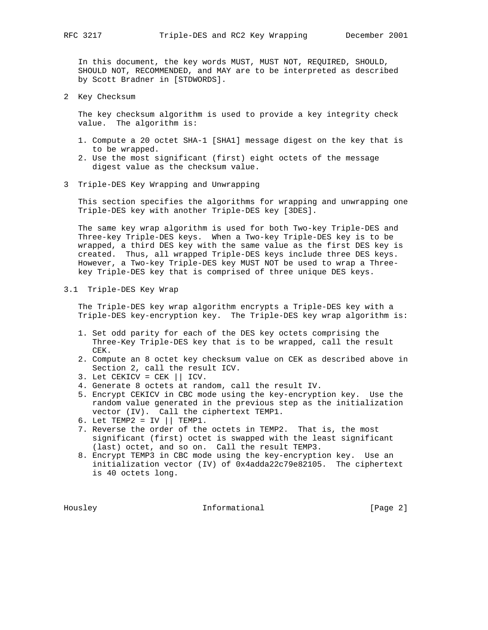In this document, the key words MUST, MUST NOT, REQUIRED, SHOULD, SHOULD NOT, RECOMMENDED, and MAY are to be interpreted as described by Scott Bradner in [STDWORDS].

2 Key Checksum

 The key checksum algorithm is used to provide a key integrity check value. The algorithm is:

- 1. Compute a 20 octet SHA-1 [SHA1] message digest on the key that is to be wrapped.
- 2. Use the most significant (first) eight octets of the message digest value as the checksum value.
- 3 Triple-DES Key Wrapping and Unwrapping

 This section specifies the algorithms for wrapping and unwrapping one Triple-DES key with another Triple-DES key [3DES].

 The same key wrap algorithm is used for both Two-key Triple-DES and Three-key Triple-DES keys. When a Two-key Triple-DES key is to be wrapped, a third DES key with the same value as the first DES key is created. Thus, all wrapped Triple-DES keys include three DES keys. However, a Two-key Triple-DES key MUST NOT be used to wrap a Three key Triple-DES key that is comprised of three unique DES keys.

3.1 Triple-DES Key Wrap

 The Triple-DES key wrap algorithm encrypts a Triple-DES key with a Triple-DES key-encryption key. The Triple-DES key wrap algorithm is:

- 1. Set odd parity for each of the DES key octets comprising the Three-Key Triple-DES key that is to be wrapped, call the result CEK.
- 2. Compute an 8 octet key checksum value on CEK as described above in Section 2, call the result ICV.
- 3. Let CEKICV = CEK || ICV.
- 4. Generate 8 octets at random, call the result IV.
- 5. Encrypt CEKICV in CBC mode using the key-encryption key. Use the random value generated in the previous step as the initialization vector (IV). Call the ciphertext TEMP1.
- 6. Let TEMP2 = IV  $||$  TEMP1.
- 7. Reverse the order of the octets in TEMP2. That is, the most significant (first) octet is swapped with the least significant (last) octet, and so on. Call the result TEMP3.
- 8. Encrypt TEMP3 in CBC mode using the key-encryption key. Use an initialization vector (IV) of 0x4adda22c79e82105. The ciphertext is 40 octets long.

Housley Informational [Page 2]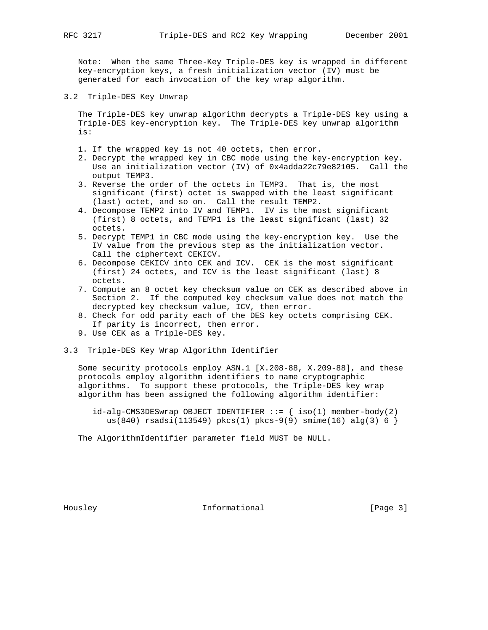Note: When the same Three-Key Triple-DES key is wrapped in different key-encryption keys, a fresh initialization vector (IV) must be generated for each invocation of the key wrap algorithm.

3.2 Triple-DES Key Unwrap

 The Triple-DES key unwrap algorithm decrypts a Triple-DES key using a Triple-DES key-encryption key. The Triple-DES key unwrap algorithm is:

- 1. If the wrapped key is not 40 octets, then error.
- 2. Decrypt the wrapped key in CBC mode using the key-encryption key. Use an initialization vector (IV) of 0x4adda22c79e82105. Call the output TEMP3.
- 3. Reverse the order of the octets in TEMP3. That is, the most significant (first) octet is swapped with the least significant (last) octet, and so on. Call the result TEMP2.
- 4. Decompose TEMP2 into IV and TEMP1. IV is the most significant (first) 8 octets, and TEMP1 is the least significant (last) 32 octets.
- 5. Decrypt TEMP1 in CBC mode using the key-encryption key. Use the IV value from the previous step as the initialization vector. Call the ciphertext CEKICV.
- 6. Decompose CEKICV into CEK and ICV. CEK is the most significant (first) 24 octets, and ICV is the least significant (last) 8 octets.
- 7. Compute an 8 octet key checksum value on CEK as described above in Section 2. If the computed key checksum value does not match the decrypted key checksum value, ICV, then error.
- 8. Check for odd parity each of the DES key octets comprising CEK. If parity is incorrect, then error.
- 9. Use CEK as a Triple-DES key.
- 3.3 Triple-DES Key Wrap Algorithm Identifier

 Some security protocols employ ASN.1 [X.208-88, X.209-88], and these protocols employ algorithm identifiers to name cryptographic algorithms. To support these protocols, the Triple-DES key wrap algorithm has been assigned the following algorithm identifier:

 $id-alg-CMS3DESwrap$  OBJECT IDENTIFIER  $::=$   ${iso(1)$  member-body(2) us(840) rsadsi(113549) pkcs(1) pkcs-9(9) smime(16) alg(3) 6 }

The AlgorithmIdentifier parameter field MUST be NULL.

Housley **Informational Informational** [Page 3]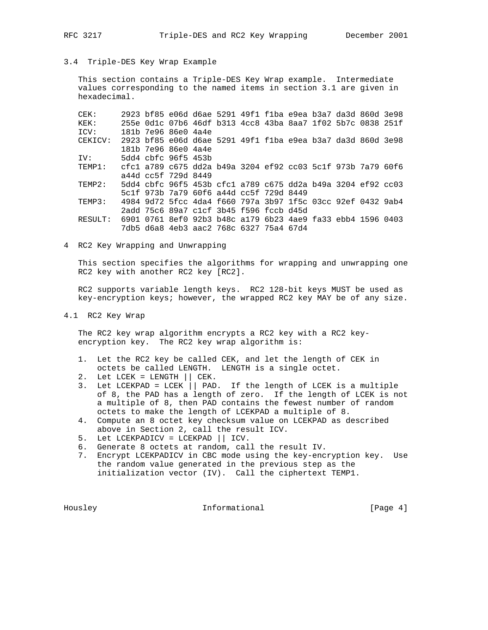# 3.4 Triple-DES Key Wrap Example

 This section contains a Triple-DES Key Wrap example. Intermediate values corresponding to the named items in section 3.1 are given in hexadecimal.

 CEK: 2923 bf85 e06d d6ae 5291 49f1 f1ba e9ea b3a7 da3d 860d 3e98 KEK: 255e 0d1c 07b6 46df b313 4cc8 43ba 8aa7 1f02 5b7c 0838 251f ICV: 181b 7e96 86e0 4a4e CEKICV: 2923 bf85 e06d d6ae 5291 49f1 f1ba e9ea b3a7 da3d 860d 3e98 181b 7e96 86e0 4a4e IV: 5dd4 cbfc 96f5 453b TEMP1: cfc1 a789 c675 dd2a b49a 3204 ef92 cc03 5c1f 973b 7a79 60f6 a44d cc5f 729d 8449 TEMP2: 5dd4 cbfc 96f5 453b cfc1 a789 c675 dd2a b49a 3204 ef92 cc03 5c1f 973b 7a79 60f6 a44d cc5f 729d 8449 TEMP3: 4984 9d72 5fcc 4da4 f660 797a 3b97 1f5c 03cc 92ef 0432 9ab4 2add 75c6 89a7 c1cf 3b45 f596 fccb d45d RESULT: 6901 0761 8ef0 92b3 b48c a179 6b23 4ae9 fa33 ebb4 1596 0403 7db5 d6a8 4eb3 aac2 768c 6327 75a4 67d4

4 RC2 Key Wrapping and Unwrapping

 This section specifies the algorithms for wrapping and unwrapping one RC2 key with another RC2 key [RC2].

 RC2 supports variable length keys. RC2 128-bit keys MUST be used as key-encryption keys; however, the wrapped RC2 key MAY be of any size.

4.1 RC2 Key Wrap

 The RC2 key wrap algorithm encrypts a RC2 key with a RC2 key encryption key. The RC2 key wrap algorithm is:

- 1. Let the RC2 key be called CEK, and let the length of CEK in octets be called LENGTH. LENGTH is a single octet.
- 2. Let LCEK = LENGTH || CEK.
- 3. Let LCEKPAD = LCEK  $\vert \vert$  PAD. If the length of LCEK is a multiple of 8, the PAD has a length of zero. If the length of LCEK is not a multiple of 8, then PAD contains the fewest number of random octets to make the length of LCEKPAD a multiple of 8.
- 4. Compute an 8 octet key checksum value on LCEKPAD as described above in Section 2, call the result ICV.
- 5. Let LCEKPADICV = LCEKPAD || ICV.
- 6. Generate 8 octets at random, call the result IV.
- 7. Encrypt LCEKPADICV in CBC mode using the key-encryption key. Use the random value generated in the previous step as the initialization vector (IV). Call the ciphertext TEMP1.

Housley **Informational Informational** [Page 4]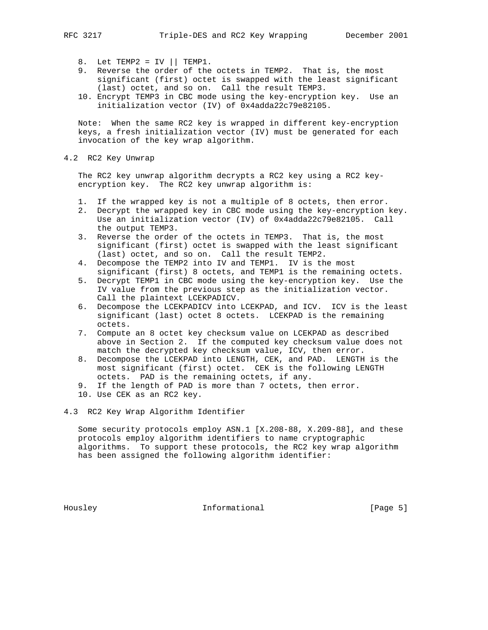- 8. Let TEMP2 = IV  $||$  TEMP1.
- 9. Reverse the order of the octets in TEMP2. That is, the most significant (first) octet is swapped with the least significant (last) octet, and so on. Call the result TEMP3.
- 10. Encrypt TEMP3 in CBC mode using the key-encryption key. Use an initialization vector (IV) of 0x4adda22c79e82105.

 Note: When the same RC2 key is wrapped in different key-encryption keys, a fresh initialization vector (IV) must be generated for each invocation of the key wrap algorithm.

4.2 RC2 Key Unwrap

 The RC2 key unwrap algorithm decrypts a RC2 key using a RC2 key encryption key. The RC2 key unwrap algorithm is:

- 1. If the wrapped key is not a multiple of 8 octets, then error.
- 2. Decrypt the wrapped key in CBC mode using the key-encryption key. Use an initialization vector (IV) of 0x4adda22c79e82105. Call the output TEMP3.
- 3. Reverse the order of the octets in TEMP3. That is, the most significant (first) octet is swapped with the least significant (last) octet, and so on. Call the result TEMP2.
- 4. Decompose the TEMP2 into IV and TEMP1. IV is the most significant (first) 8 octets, and TEMP1 is the remaining octets.
- 5. Decrypt TEMP1 in CBC mode using the key-encryption key. Use the IV value from the previous step as the initialization vector. Call the plaintext LCEKPADICV.
- 6. Decompose the LCEKPADICV into LCEKPAD, and ICV. ICV is the least significant (last) octet 8 octets. LCEKPAD is the remaining octets.
- 7. Compute an 8 octet key checksum value on LCEKPAD as described above in Section 2. If the computed key checksum value does not match the decrypted key checksum value, ICV, then error.
- 8. Decompose the LCEKPAD into LENGTH, CEK, and PAD. LENGTH is the most significant (first) octet. CEK is the following LENGTH octets. PAD is the remaining octets, if any.
- 9. If the length of PAD is more than 7 octets, then error.
- 10. Use CEK as an RC2 key.

4.3 RC2 Key Wrap Algorithm Identifier

 Some security protocols employ ASN.1 [X.208-88, X.209-88], and these protocols employ algorithm identifiers to name cryptographic algorithms. To support these protocols, the RC2 key wrap algorithm has been assigned the following algorithm identifier:

Housley **Informational Informational** [Page 5]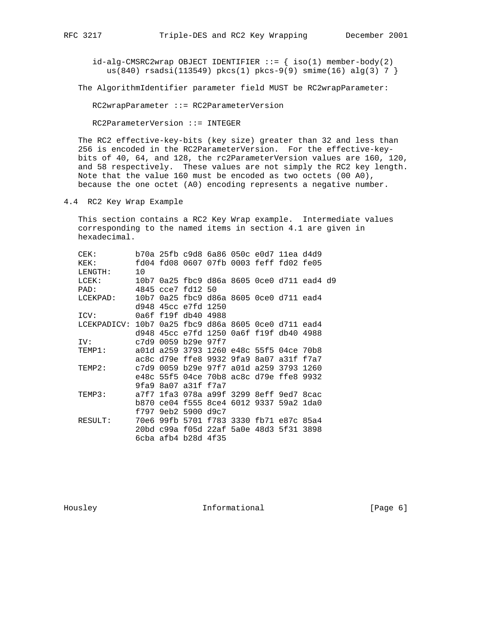$id$ -alg-CMSRC2wrap OBJECT IDENTIFIER ::=  $\{ \text{iso}(1) \text{ member-body}(2) \}$ us(840) rsadsi(113549) pkcs(1) pkcs-9(9) smime(16) alg(3) 7 }

The AlgorithmIdentifier parameter field MUST be RC2wrapParameter:

RC2wrapParameter ::= RC2ParameterVersion

RC2ParameterVersion ::= INTEGER

 The RC2 effective-key-bits (key size) greater than 32 and less than 256 is encoded in the RC2ParameterVersion. For the effective-key bits of 40, 64, and 128, the rc2ParameterVersion values are 160, 120, and 58 respectively. These values are not simply the RC2 key length. Note that the value 160 must be encoded as two octets (00 A0), because the one octet (A0) encoding represents a negative number.

4.4 RC2 Key Wrap Example

 This section contains a RC2 Key Wrap example. Intermediate values corresponding to the named items in section 4.1 are given in hexadecimal.

| CEK:                                                |      |                     | b70a 25fb c9d8 6a86 050c e0d7 11ea d4d9    |  |  |  |
|-----------------------------------------------------|------|---------------------|--------------------------------------------|--|--|--|
| KEK:                                                |      |                     | fd04 fd08 0607 07fb 0003 feff fd02 fe05    |  |  |  |
| LENGTH:                                             | 10   |                     |                                            |  |  |  |
| $LCEK$ :                                            |      |                     | 10b7 0a25 fbc9 d86a 8605 0ce0 d711 ead4 d9 |  |  |  |
| PAD:                                                |      | 4845 cce7 fd12 50   |                                            |  |  |  |
| LCEKPAD:                                            | 10b7 |                     | 0a25 fbc9 d86a 8605 0ce0 d711 ead4         |  |  |  |
|                                                     |      | d948 45cc e7fd 1250 |                                            |  |  |  |
| ICV:                                                |      | 0a6f f19f db40 4988 |                                            |  |  |  |
| LCEKPADICV: 10b7 0a25 fbc9 d86a 8605 0ce0 d711 ead4 |      |                     |                                            |  |  |  |
|                                                     |      |                     | d948 45cc e7fd 1250 0a6f f19f db40 4988    |  |  |  |
| IV:                                                 |      | c7d9 0059 b29e 97f7 |                                            |  |  |  |
| TEMP1:                                              |      |                     | a01d a259 3793 1260 e48c 55f5 04ce 70b8    |  |  |  |
|                                                     |      |                     | ac8c d79e ffe8 9932 9fa9 8a07 a31f f7a7    |  |  |  |
| TEMP2:                                              |      |                     | c7d9 0059 b29e 97f7 a01d a259 3793 1260    |  |  |  |
|                                                     |      |                     | e48c 55f5 04ce 70b8 ac8c d79e ffe8 9932    |  |  |  |
|                                                     |      | 9fa9 8a07 a31f f7a7 |                                            |  |  |  |
| TEMP3:                                              |      |                     | a7f7 1fa3 078a a99f 3299 8eff 9ed7 8cac    |  |  |  |
|                                                     |      |                     | b870 ce04 f555 8ce4 6012 9337 59a2 1da0    |  |  |  |
|                                                     | f797 | 9eb2 5900 d9c7      |                                            |  |  |  |
| RESULT:                                             |      |                     | 70e6 99fb 5701 f783 3330 fb71 e87c 85a4    |  |  |  |
|                                                     |      |                     | 20bd c99a f05d 22af 5a0e 48d3 5f31 3898    |  |  |  |
|                                                     |      | 6cba afb4 b28d 4f35 |                                            |  |  |  |
|                                                     |      |                     |                                            |  |  |  |

Housley **Informational** [Page 6]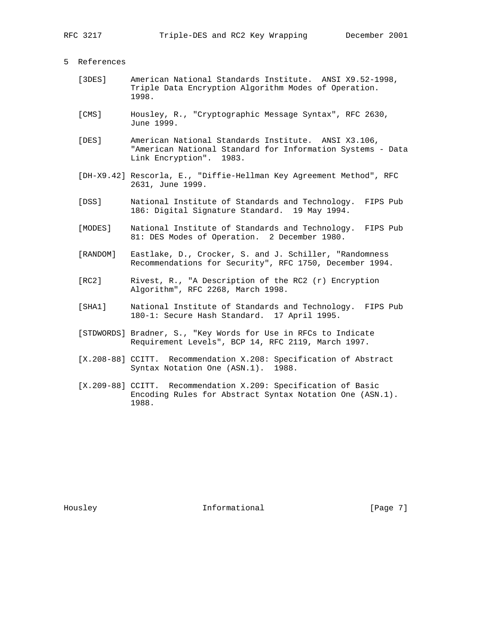### 5 References

- [3DES] American National Standards Institute. ANSI X9.52-1998, Triple Data Encryption Algorithm Modes of Operation. 1998.
- [CMS] Housley, R., "Cryptographic Message Syntax", RFC 2630, June 1999.
- [DES] American National Standards Institute. ANSI X3.106, "American National Standard for Information Systems - Data Link Encryption". 1983.
- [DH-X9.42] Rescorla, E., "Diffie-Hellman Key Agreement Method", RFC 2631, June 1999.
- [DSS] National Institute of Standards and Technology. FIPS Pub 186: Digital Signature Standard. 19 May 1994.
- [MODES] National Institute of Standards and Technology. FIPS Pub 81: DES Modes of Operation. 2 December 1980.
- [RANDOM] Eastlake, D., Crocker, S. and J. Schiller, "Randomness Recommendations for Security", RFC 1750, December 1994.
- [RC2] Rivest, R., "A Description of the RC2 (r) Encryption Algorithm", RFC 2268, March 1998.
- [SHA1] National Institute of Standards and Technology. FIPS Pub 180-1: Secure Hash Standard. 17 April 1995.
- [STDWORDS] Bradner, S., "Key Words for Use in RFCs to Indicate Requirement Levels", BCP 14, RFC 2119, March 1997.
- [X.208-88] CCITT. Recommendation X.208: Specification of Abstract Syntax Notation One (ASN.1). 1988.
- [X.209-88] CCITT. Recommendation X.209: Specification of Basic Encoding Rules for Abstract Syntax Notation One (ASN.1). 1988.

Housley **Informational Informational** [Page 7]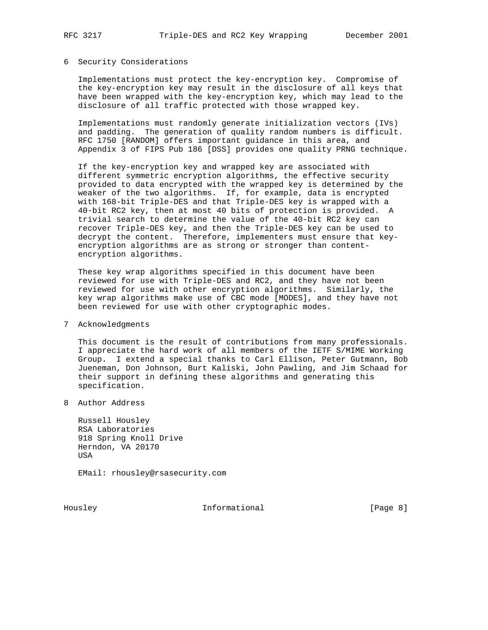### 6 Security Considerations

 Implementations must protect the key-encryption key. Compromise of the key-encryption key may result in the disclosure of all keys that have been wrapped with the key-encryption key, which may lead to the disclosure of all traffic protected with those wrapped key.

 Implementations must randomly generate initialization vectors (IVs) and padding. The generation of quality random numbers is difficult. RFC 1750 [RANDOM] offers important guidance in this area, and Appendix 3 of FIPS Pub 186 [DSS] provides one quality PRNG technique.

 If the key-encryption key and wrapped key are associated with different symmetric encryption algorithms, the effective security provided to data encrypted with the wrapped key is determined by the weaker of the two algorithms. If, for example, data is encrypted with 168-bit Triple-DES and that Triple-DES key is wrapped with a 40-bit RC2 key, then at most 40 bits of protection is provided. A trivial search to determine the value of the 40-bit RC2 key can recover Triple-DES key, and then the Triple-DES key can be used to decrypt the content. Therefore, implementers must ensure that key encryption algorithms are as strong or stronger than content encryption algorithms.

 These key wrap algorithms specified in this document have been reviewed for use with Triple-DES and RC2, and they have not been reviewed for use with other encryption algorithms. Similarly, the key wrap algorithms make use of CBC mode [MODES], and they have not been reviewed for use with other cryptographic modes.

### 7 Acknowledgments

 This document is the result of contributions from many professionals. I appreciate the hard work of all members of the IETF S/MIME Working Group. I extend a special thanks to Carl Ellison, Peter Gutmann, Bob Jueneman, Don Johnson, Burt Kaliski, John Pawling, and Jim Schaad for their support in defining these algorithms and generating this specification.

8 Author Address

 Russell Housley RSA Laboratories 918 Spring Knoll Drive Herndon, VA 20170 USA

EMail: rhousley@rsasecurity.com

Housley **Informational Informational** [Page 8]